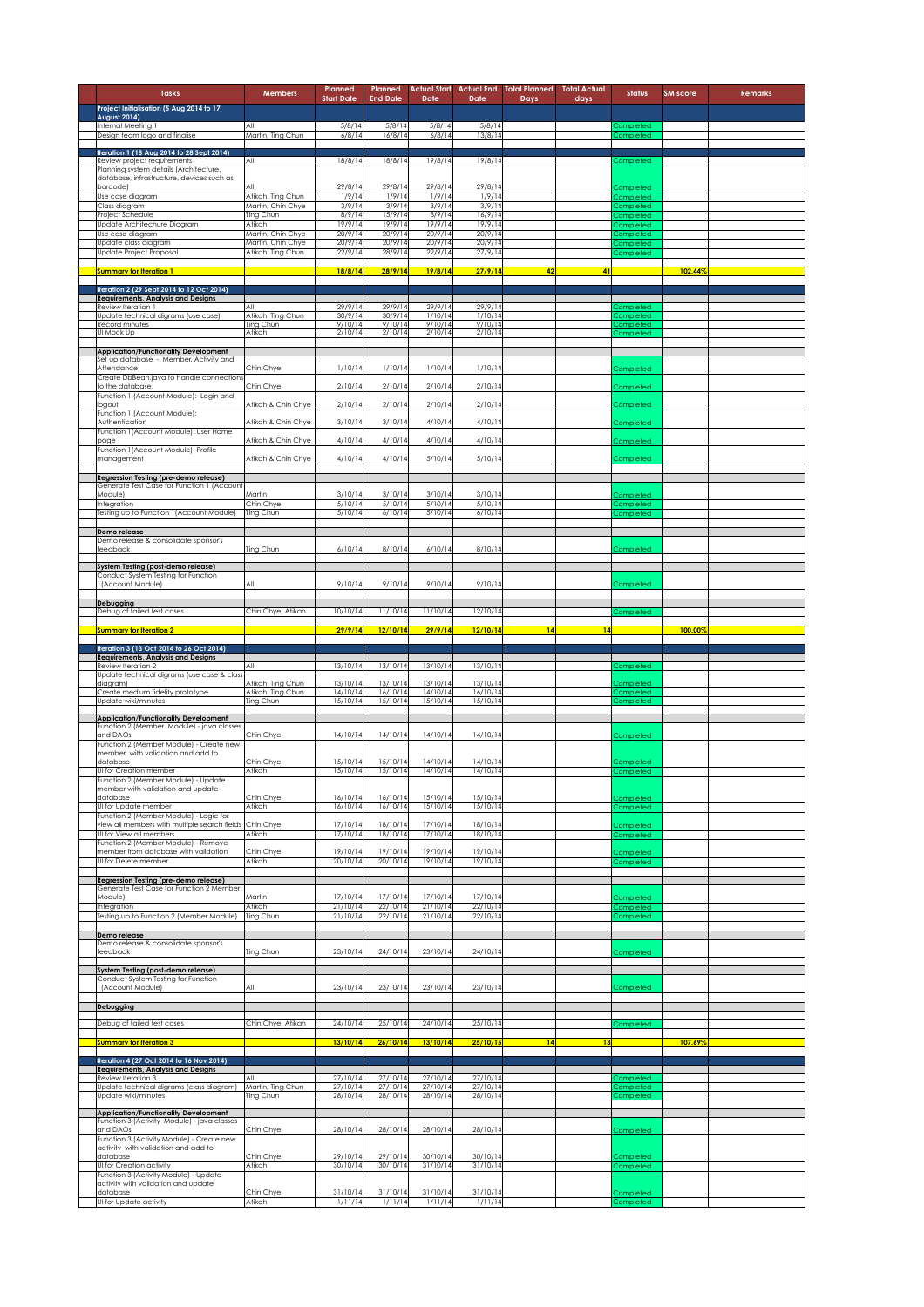| <b>Tasks</b>                                                                                                  | <b>Members</b>                           | Planned<br><b>Start Date</b>     | Planned<br><b>End Date</b>    | Date                          | Date                             | <b>Actual Start Actual End Total Planned</b><br>Days | <b>Total Actual</b><br>days | <b>Status</b>                               | <b>SM</b> score | <b>Remarks</b> |
|---------------------------------------------------------------------------------------------------------------|------------------------------------------|----------------------------------|-------------------------------|-------------------------------|----------------------------------|------------------------------------------------------|-----------------------------|---------------------------------------------|-----------------|----------------|
| Project Initialisation (5 Aug 2014 to 17<br><b>August 2014)</b>                                               |                                          |                                  |                               |                               |                                  |                                                      |                             |                                             |                 |                |
| Internal Meeting 1<br>Design team logo and finalise                                                           | All<br>Martin, Ting Chun                 | 5/8/14<br>6/8/14                 | 5/8/14<br>16/8/14             | 5/8/14<br>6/8/14              | 5/8/14<br>13/8/14                |                                                      |                             | Completed<br>ompleted                       |                 |                |
| feration 1 (18 Aug 2014 to 28 Sept 2014)<br>Review project requirements                                       | All                                      | 18/8/14                          | 18/8/14                       | 19/8/14                       | 19/8/14                          |                                                      |                             | Completed                                   |                 |                |
| Planning system details (Architecture,<br>database, infrastructure, devices such as                           |                                          |                                  |                               |                               |                                  |                                                      |                             |                                             |                 |                |
| barcode)<br>Use case diagram                                                                                  | All<br>Atikah, Ting Chun                 | 29/8/14<br>1/9/14                | 29/8/14<br>1/9/14             | 29/8/14<br>1/9/14             | 29/8/14<br>1/9/14                |                                                      |                             | <b>Completed</b><br><b>Completed</b>        |                 |                |
| Class diagram<br>Project Schedule                                                                             | Martin, Chin Chye<br>Ting Chun           | 3/9/14<br>8/9/14                 | 3/9/14<br>15/9/14             | 3/9/14<br>8/9/14              | 3/9/14<br>16/9/14                |                                                      |                             | <b>Completed</b><br><b>Completed</b>        |                 |                |
| Update Architechure Diagram<br>Use case diagram                                                               | Atikah<br>Martin, Chin Chye              | 19/9/14<br>20/9/14               | 19/9/14<br>20/9/14            | 19/9/14<br>20/9/14            | 19/9/14<br>20/9/14               |                                                      |                             | Completed<br>Completed                      |                 |                |
| Update class diagram<br>Update Project Proposal                                                               | Martin, Chin Chye<br>Atikah, Ting Chun   | 20/9/14<br>22/9/14               | 20/9/14<br>28/9/14            | 20/9/14<br>22/9/14            | 20/9/14<br>27/9/14               |                                                      |                             | Completed<br>Completed                      |                 |                |
| Summary for Iteration 1                                                                                       |                                          | 18/8/14                          | 28/9/14                       | 19/8/14                       | 27/9/14                          | 42                                                   | 41                          |                                             | 102.44%         |                |
| Iteration 2 (29 Sept 2014 to 12 Oct 2014)                                                                     |                                          |                                  |                               |                               |                                  |                                                      |                             |                                             |                 |                |
| Requirements, Analysis and Designs<br>Review Iteration 1                                                      | All                                      | 29/9/14                          | 29/9/14                       | 29/9/14                       | 29/9/14                          |                                                      |                             | ompleted                                    |                 |                |
| Jpdate technical digrams (use case)<br>Record minutes<br>UI Mock Up                                           | Atikah, Ting Chun<br>Ting Chun<br>Atikah | 30/9/14<br>9/10/14<br>2/10/14    | 30/9/14<br>9/10/14<br>2/10/14 | 1/10/14<br>9/10/14<br>2/10/14 | 1/10/14<br>9/10/14<br>2/10/14    |                                                      |                             | Completed<br>Completed<br>Completed         |                 |                |
| <b>Application/Functionality Development</b>                                                                  |                                          |                                  |                               |                               |                                  |                                                      |                             |                                             |                 |                |
| Set up database - Member, Activity and<br>Attendance                                                          | Chin Chye                                | 1/10/14                          | 1/10/14                       | 1/10/14                       | 1/10/14                          |                                                      |                             | Completed                                   |                 |                |
| Create DbBean.java to handle connections<br>to the database.                                                  | Chin Chye                                | 2/10/14                          | 2/10/14                       | 2/10/14                       | 2/10/14                          |                                                      |                             | Completed                                   |                 |                |
| Function 1 (Account Module): Login and<br>logout                                                              | Atikah & Chin Chye                       | 2/10/14                          | 2/10/14                       | 2/10/14                       | 2/10/14                          |                                                      |                             | Completed                                   |                 |                |
| Function 1 (Account Module):<br>Authentication                                                                | Atikah & Chin Chye                       | 3/10/14                          | 3/10/14                       | 4/10/14                       | 4/10/14                          |                                                      |                             | Completed                                   |                 |                |
| Function 1 (Account Module): User Home<br>page                                                                | Atikah & Chin Chye                       | 4/10/14                          | 4/10/14                       | 4/10/14                       | 4/10/14                          |                                                      |                             | Completed                                   |                 |                |
| Function 1(Account Module): Profile<br>management                                                             | Atikah & Chin Chye                       | 4/10/14                          | 4/10/14                       | 5/10/14                       | 5/10/14                          |                                                      |                             | Completed                                   |                 |                |
| Regression Testing (pre-demo release)<br>Generate Test Case for Function 1 (Account                           |                                          |                                  |                               |                               |                                  |                                                      |                             |                                             |                 |                |
| Module)<br>Integration                                                                                        | Martin<br>Chin Chye                      | 3/10/14<br>5/10/14               | 3/10/14<br>5/10/14            | 3/10/14<br>5/10/14            | 3/10/14<br>5/10/14               |                                                      |                             | Completed<br><b>Completed</b>               |                 |                |
| Testing up to Function 1 (Account Module)                                                                     | Ting Chun                                | 5/10/14                          | 6/10/14                       | 5/10/14                       | 6/10/14                          |                                                      |                             | Completed                                   |                 |                |
| Demo release<br>Demo release & consolidate sponsor's                                                          |                                          |                                  |                               |                               |                                  |                                                      |                             |                                             |                 |                |
| feedback                                                                                                      | Ting Chun                                | 6/10/14                          | 8/10/14                       | 6/10/14                       | 8/10/14                          |                                                      |                             | <b>Completed</b>                            |                 |                |
| system Testing (post-demo release)<br>Conduct System Testing for Function                                     |                                          |                                  |                               |                               |                                  |                                                      |                             |                                             |                 |                |
| (Account Module)                                                                                              | All                                      | 9/10/14                          | 9/10/14                       | 9/10/14                       | 9/10/14                          |                                                      |                             | Completed                                   |                 |                |
| Debugging<br>Debug of failed test cases                                                                       | Chin Chye, Atikah                        | 10/10/14                         | 11/10/14                      | 11/10/14                      | 12/10/14                         |                                                      |                             | Completed                                   |                 |                |
| <b>Summary for Iteration 2</b>                                                                                |                                          | 29/9/14                          | 12/10/14                      | 29/9/14                       | 12/10/14                         | 14                                                   | 14                          |                                             | 100.00%         |                |
|                                                                                                               |                                          |                                  |                               |                               |                                  |                                                      |                             |                                             |                 |                |
| Iteration 3 (13 Oct 2014 to 26 Oct 2014)                                                                      |                                          |                                  |                               |                               |                                  |                                                      |                             |                                             |                 |                |
| <b>Requirements, Analysis and Designs</b><br>Review Iteration 2<br>Update technical digrams (use case & class | All                                      | 13/10/14                         | 13/10/14                      | 13/10/14                      | 13/10/14                         |                                                      |                             | <b>ompleted</b>                             |                 |                |
| diagram)<br>Create medium fidelity prototype                                                                  | Atikah, Ting Chun<br>Atikah, Ting Chun   | 13/10/14<br>14/10/14             | 13/10/14<br>16/10/14          | 13/10/14<br>14/10/14          | 13/10/14<br>16/10/14             |                                                      |                             | Completed<br>Completed                      |                 |                |
| Update wiki/minutes                                                                                           | Ting Chun                                | 15/10/14                         | 15/10/14                      | 15/10/14                      | 15/10/14                         |                                                      |                             | completed                                   |                 |                |
| <b>Application/Functionality Development</b><br>Function 2 (Member Module) - java classes                     |                                          |                                  |                               |                               |                                  |                                                      |                             |                                             |                 |                |
| and DAOs<br>Function 2 (Member Module) - Create new                                                           | Chin Chye                                | 14/10/14                         | 14/10/14                      | 14/10/14                      | 14/10/14                         |                                                      |                             | Completed                                   |                 |                |
| member with validation and add to<br>database                                                                 | Chin Chye                                | 15/10/14                         | 15/10/14                      | 14/10/14                      | 14/10/14                         |                                                      |                             | Completed                                   |                 |                |
| UI for Creation member<br>Function 2 (Member Module) - Update                                                 | Atikah                                   | 15/10/14                         | 15/10/14                      | 14/10/14                      | 14/10/14                         |                                                      |                             | Completed                                   |                 |                |
| member with validation and update<br>database<br>UI for Update member                                         | Chin Chye<br>Atikah                      | 16/10/14<br>16/10/14             | 16/10/14<br>16/10/14          | 15/10/14<br>15/10/14          | 15/10/14<br>15/10/14             |                                                      |                             | Completed<br>Completed                      |                 |                |
| Function 2 (Member Module) - Logic for<br>view all members with multiple search fields Chin Chye              |                                          | 17/10/14                         | 18/10/14                      | 17/10/14                      | 18/10/14                         |                                                      |                             | Completed                                   |                 |                |
| UI for View all members<br>Function 2 (Member Module) - Remove                                                | Atikah                                   | 17/10/14                         | 18/10/14                      | 17/10/14                      | 18/10/14                         |                                                      |                             | Completed                                   |                 |                |
| member from database with validation<br>UI for Delete member                                                  | Chin Chye<br>Atikah                      | 19/10/14<br>20/10/14             | 19/10/14<br>20/10/14          | 19/10/14<br>19/10/14          | 19/10/14<br>19/10/14             |                                                      |                             | Completed<br>Completed                      |                 |                |
| Regression Testing (pre-demo release)                                                                         |                                          |                                  |                               |                               |                                  |                                                      |                             |                                             |                 |                |
| Generate Test Case for Function 2 Member<br>Module)                                                           | Martin                                   | 17/10/14                         | 17/10/14                      | 17/10/14                      | 17/10/14                         |                                                      |                             | completed                                   |                 |                |
| Integration<br>Testing up to Function 2 (Member Module)                                                       | Atikah<br>Ting Chun                      | 21/10/14<br>21/10/14             | 22/10/14<br>22/10/14          | 21/10/14<br>21/10/14          | 22/10/14<br>22/10/14             |                                                      |                             | Completed<br>Completed                      |                 |                |
| Demo release                                                                                                  |                                          |                                  |                               |                               |                                  |                                                      |                             |                                             |                 |                |
| Demo release & consolidate sponsor's<br>feedback                                                              | Ting Chun                                | 23/10/14                         | 24/10/14                      | 23/10/14                      | 24/10/14                         |                                                      |                             | Completed                                   |                 |                |
| System Testing (post-demo release)<br>Conduct System Testing for Function                                     |                                          |                                  |                               |                               |                                  |                                                      |                             |                                             |                 |                |
| I (Account Module)                                                                                            | All                                      | 23/10/14                         | 23/10/14                      | 23/10/14                      | 23/10/14                         |                                                      |                             | <b>Completed</b>                            |                 |                |
| Debugging                                                                                                     |                                          |                                  |                               |                               |                                  |                                                      |                             |                                             |                 |                |
| Debug of failed test cases                                                                                    | Chin Chye, Atikah                        | 24/10/14                         | 25/10/14                      | 24/10/14                      | 25/10/14                         |                                                      |                             | Completed                                   |                 |                |
| Summary for Iteration 3                                                                                       |                                          | 13/10/14                         | 26/10/14                      | 13/10/14                      | 25/10/15                         | 14                                                   |                             |                                             | 107.69%         |                |
| Iteration 4 (27 Oct 2014 to 16 Nov 2014)<br>Requirements, Analysis and Designs                                | All                                      |                                  | 27/10/14                      | 27/10/14                      |                                  |                                                      |                             |                                             |                 |                |
| Review Iteration 3<br>Update technical digrams (class diagram)<br>Update wiki/minutes                         | Martin, Ting Chun<br>Ting Chun           | 27/10/14<br>27/10/14<br>28/10/14 | 27/10/14<br>28/10/14          | 27/10/14<br>28/10/14          | 27/10/14<br>27/10/14<br>28/10/14 |                                                      |                             | completed.<br><b>Completed</b><br>Completed |                 |                |
| <b>Application/Functionality Development</b>                                                                  |                                          |                                  |                               |                               |                                  |                                                      |                             |                                             |                 |                |
| Function 3 (Activity Module) - java classes<br>and DAOs                                                       | Chin Chye                                | 28/10/14                         | 28/10/14                      | 28/10/14                      | 28/10/14                         |                                                      |                             | Completed                                   |                 |                |
| Function 3 (Activity Module) - Create new<br>activity with validation and add to                              |                                          |                                  |                               |                               |                                  |                                                      |                             |                                             |                 |                |
| database<br>UI for Creation activity                                                                          | Chin Chye<br>Atikah                      | 29/10/14<br>30/10/14             | 29/10/14<br>30/10/14          | 30/10/14<br>31/10/14          | 30/10/14<br>31/10/14             |                                                      |                             | Completed<br>Completed                      |                 |                |
| Function 3 (Activity Module) - Update<br>activity with validation and update<br>database                      | Chin Chye                                | 31/10/14                         | 31/10/14                      | 31/10/14                      | 31/10/14                         |                                                      |                             | Completed                                   |                 |                |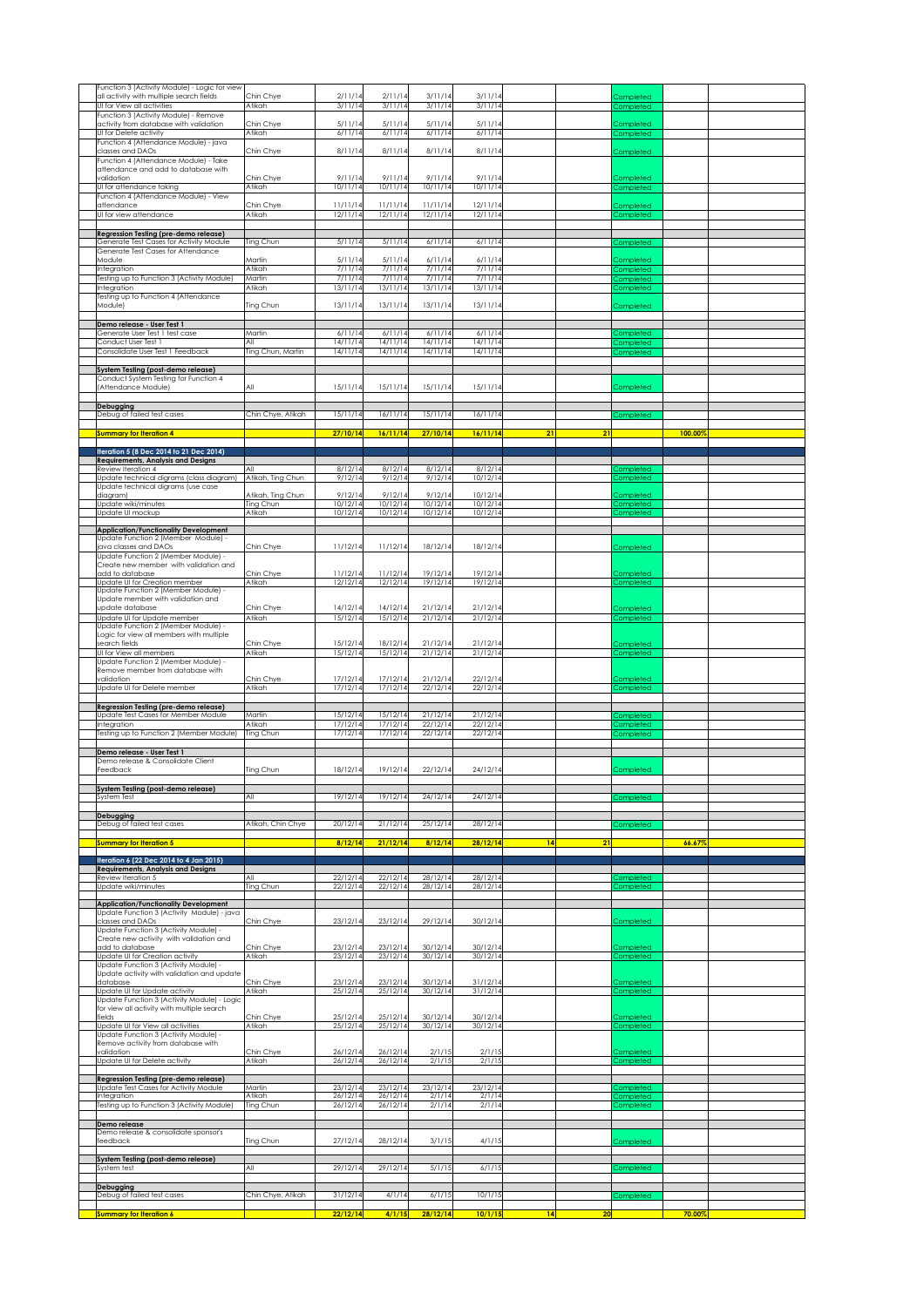| Function 3 (Activity Module) - Logic for view<br>all activity with multiple search fields<br>UI for View all activities | Chin Chye<br>Atikah                    | 2/11/14<br>3/11/14             | 2/11/14<br>3/11/14             | 3/11/14<br>3/11/14             | 3/11/14<br>3/11/14             |                 |           | Completed<br>Completed              |         |  |
|-------------------------------------------------------------------------------------------------------------------------|----------------------------------------|--------------------------------|--------------------------------|--------------------------------|--------------------------------|-----------------|-----------|-------------------------------------|---------|--|
| Function 3 (Activity Module) - Remove<br>activity from database with validation                                         | Chin Chye                              | 5/11/14                        | 5/11/14                        | 5/11/14                        | 5/11/14                        |                 |           | Completed                           |         |  |
| UI for Delete activity<br>Function 4 (Attendance Module) - java<br>classes and DAOs                                     | Atikah<br>Chin Chye                    | 6/11/14<br>8/11/14             | 6/11/14<br>8/11/14             | 6/11/14<br>8/11/14             | 6/11/14<br>8/11/14             |                 |           | Completed<br>Completed              |         |  |
| Function 4 (Attendance Module) - Take<br>attendance and add to database with                                            |                                        |                                |                                |                                |                                |                 |           |                                     |         |  |
| validation<br>UI for attendance taking<br>Function 4 (Attendance Module) - View                                         | Chin Chye<br>Atikah                    | 9/11/14<br>10/11/14            | 9/11/14<br>10/11/14            | 9/11/14<br>10/11/14            | 9/11/14<br>10/11/14            |                 |           | Completed<br>Completed              |         |  |
| attendance<br>UI for view attendance                                                                                    | Chin Chye<br>Atikah                    | 11/11/14<br>12/11/14           | 11/11/14<br>12/11/14           | 11/11/14<br>12/11/14           | 12/11/14<br>12/11/14           |                 |           | Completed<br>Completed              |         |  |
| Regression Testing (pre-demo release)<br>Generate Test Cases for Activity Module                                        | Ting Chun                              | 5/11/14                        | 5/11/14                        | 6/11/14                        | 6/11/14                        |                 |           |                                     |         |  |
| Generate Test Cases for Attendance<br>Module                                                                            | Martin                                 | 5/11/1                         | 5/11/14                        | 6/11/14                        | 6/11/14                        |                 |           | Completed<br>Completed              |         |  |
| Integration<br>Testing up to Function 3 (Activity Module)<br>Integration                                                | Atikah<br>Martin<br>Atikah             | 7/11/14<br>7/11/14<br>13/11/14 | 7/11/14<br>7/11/14<br>13/11/14 | 7/11/14<br>7/11/14<br>13/11/14 | 7/11/14<br>7/11/14<br>13/11/14 |                 |           | Completed<br>Completed<br>Completed |         |  |
| Testing up to Function 4 (Attendance<br>Module)                                                                         | Ting Chun                              | 13/11/14                       | 13/11/14                       | 13/11/14                       | 13/11/14                       |                 |           | Completed                           |         |  |
| Demo release - User Test 1<br>Generate User Test 1 test case                                                            | Martin                                 | 6/11/14                        | 6/11/14                        | 6/11/14                        | 6/11/14                        |                 |           | Completed                           |         |  |
| Conduct User Test 1<br>Consolidate User Test 1 Feedback                                                                 | All<br>Ting Chun, Martin               | 14/11/14<br>14/11/14           | 14/11/14<br>14/11/14           | 14/11/14<br>14/11/14           | 14/11/14<br>14/11/14           |                 |           | Completed<br>Completed              |         |  |
| System Testing (post-demo release)<br>Conduct System Testing for Function 4                                             |                                        |                                |                                |                                |                                |                 |           |                                     |         |  |
| (Attendance Module)                                                                                                     | All                                    | 15/11/14                       | 15/11/14                       | 15/11/14                       | 15/11/14                       |                 |           | Completed                           |         |  |
| Debugging<br>Debug of failed test cases                                                                                 | Chin Chve, Atikah                      | 15/11/14                       | 16/11/14                       | 15/11/14                       | 16/11/14                       |                 |           | Completed                           |         |  |
| <b>Summary for Iteration 4</b>                                                                                          |                                        | 27/10/14                       | 16/11/14                       | 27/10/14                       | 16/11/14                       | $\overline{21}$ | 21        |                                     | 100.00% |  |
| Iteration 5 (8 Dec 2014 to 21 Dec 2014)<br><b>Requirements, Analysis and Designs</b><br>Review Iteration 4              | All                                    | 8/12/14                        | 8/12/14                        | 8/12/14                        | 8/12/14                        |                 |           | Completed                           |         |  |
| Update technical digrams (class diagram)<br>Update technical digrams (use case<br>diagram)                              | Atikah, Ting Chun<br>Atikah, Ting Chun | 9/12/14<br>9/12/1              | 9/12/14<br>9/12/14             | 9/12/14<br>9/12/14             | 10/12/14<br>10/12/14           |                 |           | <b>Completed</b><br>Completed       |         |  |
| Update wiki/minutes<br>Update UI mockup                                                                                 | Ting Chun<br>Atikah                    | 10/12/14<br>10/12/14           | 10/12/14<br>10/12/14           | 10/12/14<br>10/12/14           | 10/12/14<br>10/12/14           |                 |           | Completed<br><b>Completed</b>       |         |  |
| <b>Application/Functionality Development</b><br>Update Function 2 (Member Module) -                                     |                                        |                                |                                |                                |                                |                 |           |                                     |         |  |
| java classes and DAOs<br>Update Function 2 (Member Module) -<br>Create new member with validation and                   | Chin Chye                              | 11/12/14                       | 11/12/14                       | 18/12/14                       | 18/12/14                       |                 |           | Completed                           |         |  |
| add to database<br>Update UI for Creation member                                                                        | Chin Chye<br>Atikah                    | 11/12/14<br>12/12/14           | 11/12/14<br>12/12/14           | 19/12/14<br>19/12/14           | 19/12/14<br>19/12/14           |                 |           | Completed<br>Completed              |         |  |
| Update Function 2 (Member Module) -<br>Update member with validation and<br>update database                             | Chin Chye                              | 14/12/14                       | 14/12/14                       | 21/12/14                       | 21/12/14                       |                 |           | Completed                           |         |  |
| Update UI for Update member<br>Update Function 2 (Member Module) -                                                      | Atikah                                 | 15/12/14                       | 15/12/14                       | 21/12/14                       | 21/12/14                       |                 |           | Completed                           |         |  |
| Logic for view all members with multiple<br>search fields<br>UI for View all members                                    | Chin Chye<br>Atikah                    | 15/12/14<br>15/12/14           | 18/12/14<br>15/12/14           | 21/12/14<br>21/12/14           | 21/12/14<br>21/12/14           |                 |           | Completed<br>Completed              |         |  |
| Update Function 2 (Member Module) -<br>Remove member from database with<br>validation                                   | Chin Chye                              | 17/12/14                       | 17/12/14                       | 21/12/14                       | 22/12/14                       |                 |           | Completed                           |         |  |
| Update UI for Delete member                                                                                             | Atikah                                 | 17/12/14                       | 17/12/14                       | 22/12/14                       | 22/12/14                       |                 |           | Completed                           |         |  |
| Regression Testing (pre-demo release)<br>Update Test Cases for Member Module<br>Integration                             | Martin<br>Atikah                       | 15/12/14<br>17/12/14           | 15/12/14<br>17/12/14           | 21/12/14<br>22/12/14           | 21/12/14<br>22/12/14           |                 |           | Completed<br>Completed              |         |  |
| Testing up to Function 2 (Member Module)                                                                                | Ting Chun                              | 17/12/14                       | 17/12/14                       | 22/12/14                       | 22/12/14                       |                 |           | Completed                           |         |  |
| Demo release - User Test 1<br>Demo release & Consolidate Client<br>Feedback                                             | Ting Chun                              | 18/12/14                       | 19/12/14                       | 22/12/14                       | 24/12/14                       |                 |           | Completed                           |         |  |
| System Testing (post-demo release)                                                                                      |                                        |                                |                                |                                |                                |                 |           |                                     |         |  |
| System Test<br>Debugging                                                                                                | All                                    | 19/12/14                       | 19/12/14                       | 24/12/14                       | 24/12/14                       |                 |           | Completed                           |         |  |
| Debug of failed test cases                                                                                              | Atikah, Chin Chye                      | 20/12/14<br>8/12/14            | 21/12/14<br>21/12/14           | 25/12/14<br>8/12/14            | 28/12/14<br>28/12/14           | 14              | 21        | Completed                           | 66.67%  |  |
| <b>Summary for Iteration 5</b><br>Iteration 6 (22 Dec 2014 to 4 Jan 2015)                                               |                                        |                                |                                |                                |                                |                 |           |                                     |         |  |
| <b>Requirements, Analysis and Designs</b><br>Review Iteration 5<br>Update wiki/minutes                                  | All<br>Ting Chun                       | 22/12/14<br>22/12/14           | 22/12/14<br>22/12/14           | 28/12/14<br>28/12/14           | 28/12/14<br>28/12/14           |                 |           | <b>Completed</b><br>Completed       |         |  |
| <b>Application/Functionality Development</b><br>Update Function 3 (Activity Module) - java                              |                                        |                                |                                |                                |                                |                 |           |                                     |         |  |
| classes and DAOs<br>Update Function 3 (Activity Module) -                                                               | Chin Chye                              | 23/12/14                       | 23/12/14                       | 29/12/14                       | 30/12/14                       |                 |           | Completed                           |         |  |
| Create new activity with validation and<br>add to database<br>Update UI for Creation activity                           | Chin Chye<br>Atikah                    | 23/12/14<br>23/12/14           | 23/12/14<br>23/12/14           | 30/12/14<br>30/12/14           | 30/12/14<br>30/12/14           |                 |           | <u>Completed</u><br>Completed       |         |  |
| Update Function 3 (Activity Module) -<br>Update activity with validation and update<br>database                         | Chin Chye                              | 23/12/14                       | 23/12/14                       | 30/12/14                       | 31/12/14                       |                 |           | Completed                           |         |  |
| Update UI for Update activity<br>Update Function 3 (Activity Module) - Logic                                            | Atikah                                 | 25/12/14                       | 25/12/14                       | 30/12/14                       | 31/12/14                       |                 |           | Completed                           |         |  |
| for view all activity with multiple search<br>fields<br>Update UI for View all activities                               | Chin Chye<br>Atikah                    | 25/12/14<br>25/12/14           | 25/12/14<br>25/12/14           | 30/12/14<br>30/12/14           | 30/12/14<br>30/12/14           |                 |           | ompleted<br>Completed               |         |  |
| Update Function 3 (Activity Module) -<br>Remove activity from database with                                             | Chin Chye                              | 26/12/14                       | 26/12/14                       | 2/1/15                         | 2/1/15                         |                 |           |                                     |         |  |
| validation<br>Update UI for Delete activity                                                                             | Atikah                                 | 26/12/14                       | 26/12/14                       | 2/1/15                         | 2/1/15                         |                 |           | Completed<br>Completed              |         |  |
| <b>Regression Testing (pre-demo release)</b><br>Update Test Cases for Activity Module<br>Integration                    | Martin<br>Atikah                       | 23/12/14<br>26/12/14           | 23/12/14<br>26/12/14           | 23/12/14<br>2/1/14             | 23/12/14<br>2/1/14             |                 |           | Completed<br><b>Completed</b>       |         |  |
| Testing up to Function 3 (Activity Module)                                                                              | Ting Chun                              | 26/12/14                       | 26/12/14                       | 2/1/14                         | 2/1/14                         |                 |           | Completed                           |         |  |
| Demo release<br>Demo release & consolidate sponsor's<br>feedback                                                        | Ting Chun                              | 27/12/14                       | 28/12/14                       | 3/1/15                         | 4/1/15                         |                 |           | Completed                           |         |  |
| System Testing (post-demo release)<br>System test                                                                       | All                                    | 29/12/14                       | 29/12/14                       | 5/1/15                         | 6/1/15                         |                 |           | Completed                           |         |  |
| Debugging                                                                                                               |                                        |                                |                                |                                |                                |                 |           |                                     |         |  |
| Debug of failed test cases                                                                                              | Chin Chye, Atikah                      | 31/12/14                       | 4/1/14                         | 6/1/15                         | 10/1/15                        |                 | 14 <br>20 | Completed                           |         |  |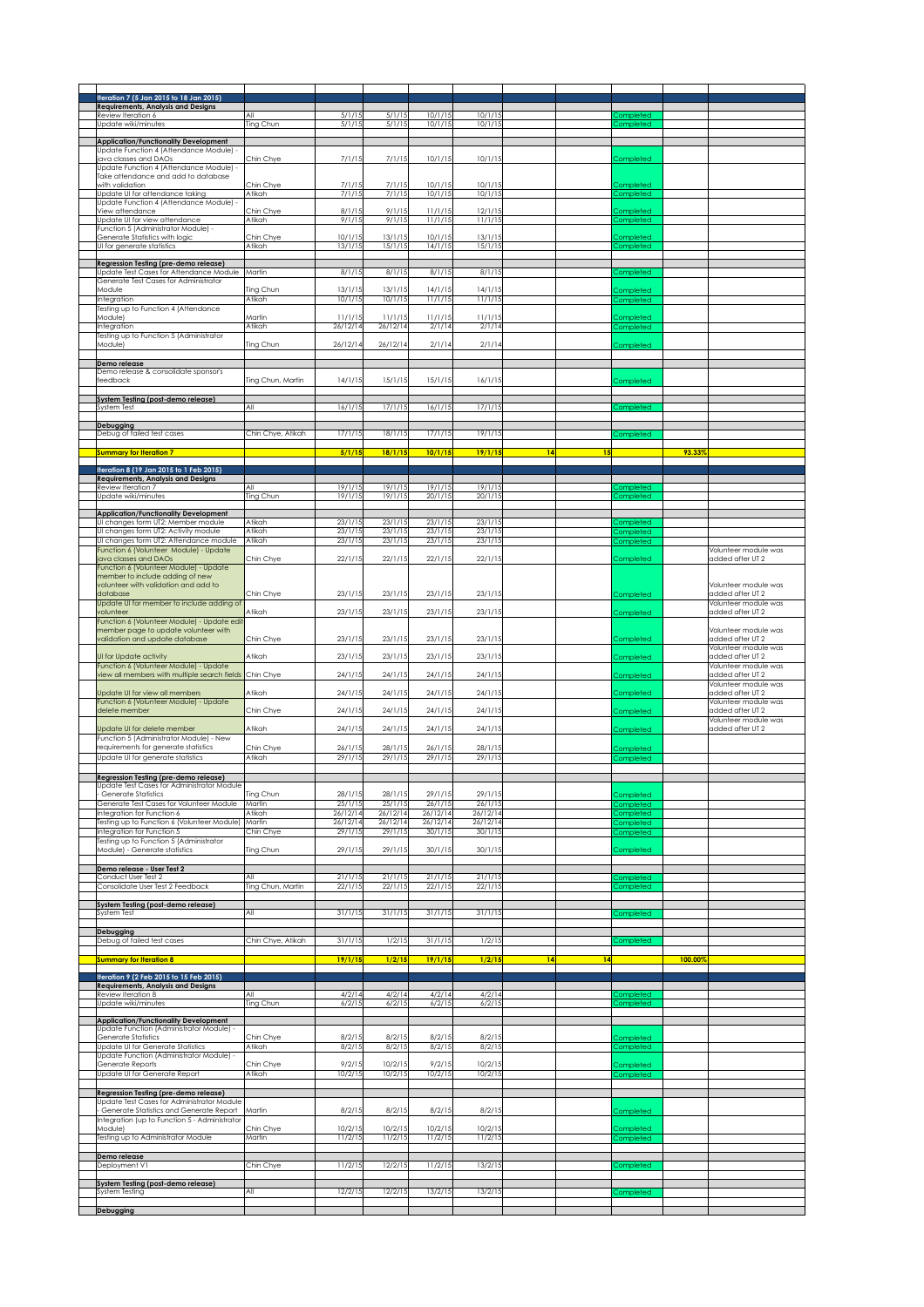| Iteration 7 (5 Jan 2015 to 18 Jan 2015)<br><b>Requirements, Analysis and Designs</b>             |                     |                      |                      |                      |                      |    |    |                               |         |                                          |
|--------------------------------------------------------------------------------------------------|---------------------|----------------------|----------------------|----------------------|----------------------|----|----|-------------------------------|---------|------------------------------------------|
| Review Iteration 6                                                                               | All                 | 5/1/15               | 5/1/15               | 10/1/15              | 10/1/15              |    |    | completed                     |         |                                          |
| Update wiki/minutes                                                                              | Ting Chun           | 5/1/15               | 5/1/15               | 10/1/15              | 10/1/15              |    |    | Completed                     |         |                                          |
| <b>Application/Functionality Development</b>                                                     |                     |                      |                      |                      |                      |    |    |                               |         |                                          |
| Update Function 4 (Attendance Module)<br>ava classes and DAOs                                    | Chin Chye           | 7/1/15               | 7/1/15               | 10/1/15              | 10/1/15              |    |    | Completed                     |         |                                          |
| Update Function 4 (Attendance Module) -                                                          |                     |                      |                      |                      |                      |    |    |                               |         |                                          |
| Take attendance and add to database<br>with validation                                           | Chin Chye           | 7/1/15               | 7/1/15               | 10/1/15              | 10/1/15              |    |    | <b>Completed</b>              |         |                                          |
| Update UI for attendance taking                                                                  | Atikah              | 7/1/15               | 7/1/15               | 10/1/15              | 10/1/15              |    |    | completed                     |         |                                          |
| Update Function 4 (Attendance Module)<br>View attendance                                         | Chin Chye           | 8/1/15               | 9/1/15               | 11/1/15              | 12/1/15              |    |    | Completed                     |         |                                          |
| Update UI for view attendance                                                                    | Atikah              | 9/1/15               | 9/1/15               | 11/1/15              | 11/1/15              |    |    | Completed                     |         |                                          |
| Function 5 (Administrator Module) -                                                              | Chin Chve           |                      |                      |                      |                      |    |    |                               |         |                                          |
| Generate Statistics with logic<br>UI for generate statistics                                     | Atikah              | 10/1/15<br>13/1/15   | 13/1/15<br>15/1/15   | 10/1/15<br>14/1/15   | 13/1/15<br>15/1/15   |    |    | Completed<br>Completed        |         |                                          |
|                                                                                                  |                     |                      |                      |                      |                      |    |    |                               |         |                                          |
| Regression Testing (pre-demo release)<br>Update Test Cases for Attendance Module                 | Martin              | 8/1/15               | 8/1/15               | 8/1/15               | 8/1/15               |    |    | completed                     |         |                                          |
| Generate Test Cases for Administrator                                                            |                     |                      |                      |                      |                      |    |    |                               |         |                                          |
| Module<br>Integration                                                                            | ling Chun<br>Atikah | 13/1/15<br>10/1/15   | 13/1/15<br>10/1/15   | 14/1/15<br>11/1/15   | 14/1/15<br>11/1/15   |    |    | Completed<br>Completed        |         |                                          |
| Testing up to Function 4 (Attendance                                                             |                     |                      |                      |                      |                      |    |    |                               |         |                                          |
| Module)                                                                                          | Martin              | 11/1/15              | 11/1/15              | 11/1/15              | 11/1/15              |    |    | completed                     |         |                                          |
| Integration<br>Testing up to Function 5 (Administrator                                           | Atikah              | 26/12/14             | 26/12/14             | 2/1/14               | 2/1/14               |    |    | <b>Completed</b>              |         |                                          |
| Module)                                                                                          | Ting Chun           | 26/12/14             | 26/12/14             | 2/1/14               | 2/1/14               |    |    | Completed                     |         |                                          |
|                                                                                                  |                     |                      |                      |                      |                      |    |    |                               |         |                                          |
| Demo release<br>Demo release & consolidate sponsor's                                             |                     |                      |                      |                      |                      |    |    |                               |         |                                          |
| feedback                                                                                         | Ting Chun, Martin   | 14/1/15              | 15/1/15              | 15/1/15              | 16/1/15              |    |    | Completed                     |         |                                          |
| System Testing (post-demo release)                                                               |                     |                      |                      |                      |                      |    |    |                               |         |                                          |
| System Test                                                                                      | All                 | 16/1/15              | 17/1/15              | 16/1/15              | 17/1/15              |    |    | <b>Completed</b>              |         |                                          |
| Debugging                                                                                        |                     |                      |                      |                      |                      |    |    |                               |         |                                          |
| Debug of failed test cases                                                                       | Chin Chye, Atikah   | 17/1/15              | 18/1/15              | 17/1/15              | 19/1/15              |    |    | Completed                     |         |                                          |
|                                                                                                  |                     |                      |                      |                      |                      |    |    |                               |         |                                          |
| Summary for Iteration 7                                                                          |                     | 5/1/15               | 18/1/15              | 10/1/15              | 19/1/15              | 14 | 15 |                               | 93.33%  |                                          |
| Iteration 8 (19 Jan 2015 to 1 Feb 2015)                                                          |                     |                      |                      |                      |                      |    |    |                               |         |                                          |
| <b>Requirements, Analysis and Designs</b><br>Review Iteration 7                                  | All                 | 19/1/15              | 19/1/15              | 19/1/15              | 19/1/15              |    |    | Completed                     |         |                                          |
| Update wiki/minutes                                                                              | Ting Chun           | 19/1/15              | 19/1/15              | 20/1/15              | 20/1/15              |    |    | Completed                     |         |                                          |
| <b>Application/Functionality Development</b>                                                     |                     |                      |                      |                      |                      |    |    |                               |         |                                          |
| UI changes form UT2: Member module                                                               | Atikah              | 23/1/15              | 23/1/15              | 23/1/15              | 23/1/15              |    |    | ompleted                      |         |                                          |
| UI changes form UT2: Activity module                                                             | Atikah              | 23/1/15              | 23/1/15              | 23/1/15              | 23/1/15              |    |    | <b>ompleted</b>               |         |                                          |
| UI changes form UT2: Attendance module<br>Function 6 (Volunteer Module) - Update                 | Atikah              | 23/1/15              | 23/1/15              | 23/1/15              | 23/1/15              |    |    | completed                     |         | Volunteer module was                     |
| ava classes and DAOs                                                                             | Chin Chye           | 22/1/15              | 22/1/15              | 22/1/15              | 22/1/15              |    |    | Completed                     |         | added after UT 2                         |
| Function 6 (Volunteer Module) - Update<br>member to include adding of new                        |                     |                      |                      |                      |                      |    |    |                               |         |                                          |
| volunteer with validation and add to                                                             |                     |                      |                      |                      |                      |    |    |                               |         | Volunteer module was                     |
| database                                                                                         | Chin Chye           | 23/1/15              | 23/1/15              | 23/1/15              | 23/1/15              |    |    | Completed                     |         | added after UT 2                         |
| Update UI for member to include adding of<br>volunteer                                           | Atikah              | 23/1/15              | 23/1/15              | 23/1/15              | 23/1/15              |    |    | Completed                     |         | Volunteer module was<br>added after UT 2 |
| unction 6 (Volunteer Module) - Update edit                                                       |                     |                      |                      |                      |                      |    |    |                               |         |                                          |
| nember page to update volunteer with<br>validation and update database                           | Chin Chye           | 23/1/15              | 23/1/15              | 23/1/15              | 23/1/15              |    |    |                               |         | Volunteer module was<br>added after UT 2 |
|                                                                                                  |                     |                      |                      |                      |                      |    |    | Completed                     |         | Volunteer module was                     |
| UI for Update activity                                                                           | Atikah              | 23/1/15              | 23/1/15              | 23/1/15              | 23/1/15              |    |    | Completed                     |         | added after UT 2                         |
| Function 6 (Volunteer Module) - Update<br>view all members with multiple search fields Chin Chye |                     | 24/1/15              | 24/1/15              | 24/1/15              | 24/1/15              |    |    | Completed                     |         | Volunteer module was<br>added after UT 2 |
|                                                                                                  |                     |                      |                      |                      |                      |    |    |                               |         | Volunteer module was                     |
|                                                                                                  |                     |                      |                      |                      |                      |    |    |                               |         |                                          |
| Update UI for view all members                                                                   | Atikah              | 24/1/15              | 24/1/15              | 24/1/15              | 24/1/15              |    |    | <b>Completed</b>              |         | added after UT 2                         |
| Function 6 (Volunteer Module) - Update<br>delete member                                          | Chin Chye           | 24/1/15              | 24/1/15              | 24/1/15              | 24/1/15              |    |    | Completed                     |         | Volunteer module was<br>added after UT 2 |
|                                                                                                  |                     |                      |                      |                      |                      |    |    |                               |         | Volunteer module was                     |
| Update UI for delete member                                                                      | Atikah              | 24/1/15              | 24/1/15              | 24/1/15              | 24/1/15              |    |    | Completed                     |         | added after UT 2                         |
| Function 5 (Administrator Module) - New<br>requirements for generate statistics                  | Chin Chye           | 26/1/15              | 28/1/15              | 26/1/15              | 28/1/15              |    |    | Completed                     |         |                                          |
| Update UI for generate statistics                                                                | Atikah              | 29/1/15              | 29/1/15              | 29/1/15              | 29/1/15              |    |    | Completed                     |         |                                          |
|                                                                                                  |                     |                      |                      |                      |                      |    |    |                               |         |                                          |
| <b>Regression Testing (pre-demo release)</b><br>Update Test Cases for Administrator Module       |                     |                      |                      |                      |                      |    |    |                               |         |                                          |
| Generate Statistics                                                                              | Ting Chun           | 28/1/15              | 28/1/15              | 29/1/15              | 29/1/15              |    |    | Completed                     |         |                                          |
| Generate Test Cases for Volunteer Module                                                         | Martin<br>Atikah    | 25/1/15              | 25/1/15              | 26/1/15              | 26/1/15              |    |    | Completed                     |         |                                          |
| Integration for Function 6<br>Testing up to Function 6 (Volunteer Module) Martin                 |                     | 26/12/14<br>26/12/14 | 26/12/14<br>26/12/14 | 26/12/14<br>26/12/14 | 26/12/14<br>26/12/14 |    |    | Completed<br>Completed        |         |                                          |
| Integration for Function 5                                                                       | Chin Chye           | 29/1/15              | 29/1/15              | 30/1/15              | 30/1/15              |    |    | Completed                     |         |                                          |
| Testing up to Function 5 (Administrator<br>Module) - Generate statistics                         | Ting Chun           | 29/1/15              | 29/1/15              | 30/1/15              | 30/1/15              |    |    | Completed                     |         |                                          |
|                                                                                                  |                     |                      |                      |                      |                      |    |    |                               |         |                                          |
| Demo release - User Test 2<br>Conduct User Test 2                                                | All                 | 21/1/15              | 21/1/15              | 21/1/15              | 21/1/15              |    |    |                               |         |                                          |
| Consolidate User Test 2 Feedback                                                                 | Ting Chun, Martin   | 22/1/15              | 22/1/15              | 22/1/15              | 22/1/15              |    |    | ompleted<br>:ompleted         |         |                                          |
|                                                                                                  |                     |                      |                      |                      |                      |    |    |                               |         |                                          |
| System Testing (post-demo release)<br>System Test                                                | All                 | 31/1/15              | 31/1/15              | 31/1/15              | 31/1/15              |    |    | Completed                     |         |                                          |
|                                                                                                  |                     |                      |                      |                      |                      |    |    |                               |         |                                          |
|                                                                                                  | Chin Chye, Atikah   | 31/1/15              | 1/2/15               | 31/1/15              | 1/2/15               |    |    |                               |         |                                          |
| <b>Debugging</b><br>Debug of failed test cases                                                   |                     |                      |                      |                      |                      |    |    | Completed                     |         |                                          |
| <b>Summary for Iteration 8</b>                                                                   |                     | 19/1/15              | 1/2/15               | 19/1/15              | 1/2/15               | 14 | 14 |                               | 100.00% |                                          |
| Iteration 9 (2 Feb 2015 to 15 Feb 2015)                                                          |                     |                      |                      |                      |                      |    |    |                               |         |                                          |
| <b>Requirements, Analysis and Designs</b>                                                        |                     |                      |                      |                      |                      |    |    |                               |         |                                          |
| Review Iteration 8<br>Update wiki/minutes                                                        | All<br>Ting Chun    | 4/2/14<br>6/2/15     | 4/2/14<br>6/2/15     | 4/2/14<br>6/2/15     | 4/2/14<br>6/2/15     |    |    | completed<br><b>Completed</b> |         |                                          |
|                                                                                                  |                     |                      |                      |                      |                      |    |    |                               |         |                                          |
| <b>Application/Functionality Development</b><br>Update Function (Administrator Module) -         |                     |                      |                      |                      |                      |    |    |                               |         |                                          |
| <b>Generate Statistics</b>                                                                       | Chin Chye           | 8/2/15               | 8/2/15               | 8/2/15               | 8/2/15               |    |    | Completed                     |         |                                          |
| Update UI for Generate Statistics                                                                | Atikah              | 8/2/15               | 8/2/15               | 8/2/15               | 8/2/15               |    |    | Completed                     |         |                                          |
| Update Function (Administrator Module) -<br>Generate Reports                                     | Chin Chye           | 9/2/15               | 10/2/15              | 9/2/15               | 10/2/15              |    |    | Completed                     |         |                                          |
| Update UI for Generate Report                                                                    | Atikah              | 10/2/15              | 10/2/15              | 10/2/15              | 10/2/15              |    |    | Completed                     |         |                                          |
|                                                                                                  |                     |                      |                      |                      |                      |    |    |                               |         |                                          |
| Regression Testing (pre-demo release)<br>Update Test Cases for Administrator Module              |                     |                      |                      |                      |                      |    |    |                               |         |                                          |
| Generate Statistics and Generate Report   Martin                                                 |                     | 8/2/15               | 8/2/15               | 8/2/15               | 8/2/15               |    |    | Completed                     |         |                                          |
| Integration (up to Function 5 - Administrator<br>Module)                                         | Chin Chye           | 10/2/15              | 10/2/15              | 10/2/15              | 10/2/15              |    |    | completed                     |         |                                          |
| Testing up to Administrator Module                                                               | Martin              | 11/2/15              | 11/2/15              | 11/2/15              | 11/2/15              |    |    | Completed                     |         |                                          |
|                                                                                                  |                     |                      |                      |                      |                      |    |    |                               |         |                                          |
| Demo release<br>Deployment V1                                                                    | Chin Chye           | 11/2/15              | 12/2/15              | 11/2/15              | 13/2/15              |    |    | completed                     |         |                                          |
|                                                                                                  |                     |                      |                      |                      |                      |    |    |                               |         |                                          |
| System Testing (post-demo release)<br>System Testing                                             | All                 | 12/2/15              | 12/2/15              | 13/2/15              | 13/2/15              |    |    | Completed                     |         |                                          |
| Debugging                                                                                        |                     |                      |                      |                      |                      |    |    |                               |         |                                          |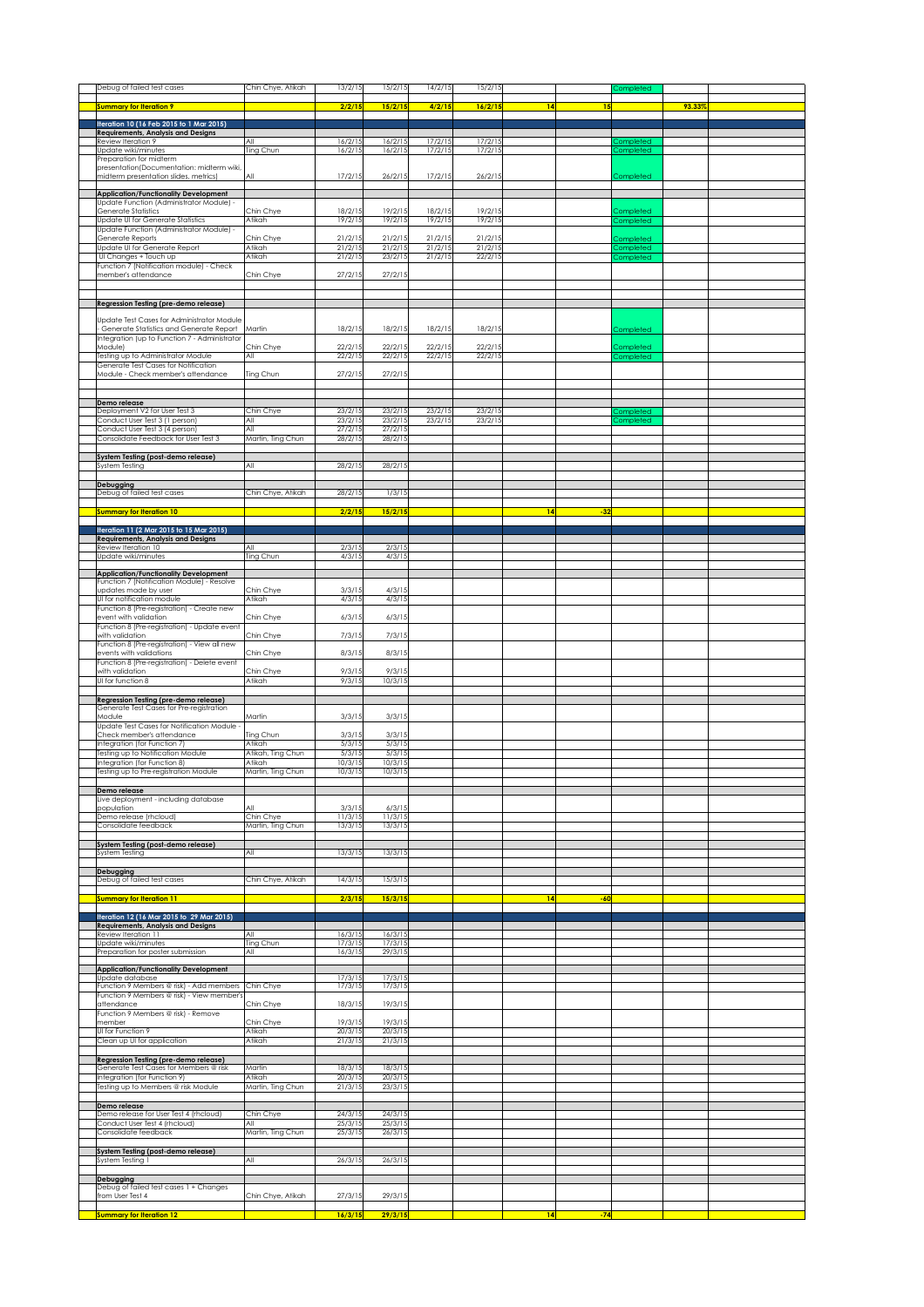| Debug of failed test cases                                                                 | Chin Chye, Atikah           | 13/2/15            | 15/2/15            | 14/2/15            | 15/2/15            |    |       | Completed                     |        |  |
|--------------------------------------------------------------------------------------------|-----------------------------|--------------------|--------------------|--------------------|--------------------|----|-------|-------------------------------|--------|--|
|                                                                                            |                             |                    |                    |                    |                    |    |       |                               |        |  |
| <b>Summary for Iteration 9</b>                                                             |                             | 2/2/1!             | 15/2/15            | 4/2/15             | 16/2/15            | 14 | 15    |                               | 93.33% |  |
| Iteration 10 (16 Feb 2015 to 1 Mar 2015)                                                   |                             |                    |                    |                    |                    |    |       |                               |        |  |
| Requirements, Analysis and Designs                                                         | All                         | 16/2/15            |                    | 17/2/15            | 17/2/15            |    |       |                               |        |  |
| Review Iteration 9<br>Update wiki/minutes                                                  | Ting Chun                   | 16/2/15            | 16/2/15<br>16/2/15 | 17/2/15            | 17/2/15            |    |       | <b>Completed</b><br>Completed |        |  |
| Preparation for midterm                                                                    |                             |                    |                    |                    |                    |    |       |                               |        |  |
| presentation(Documentation: midterm wiki,<br>midterm presentation slides, metrics)         | All                         | 17/2/15            | 26/2/15            | 17/2/15            | 26/2/15            |    |       | Completed                     |        |  |
|                                                                                            |                             |                    |                    |                    |                    |    |       |                               |        |  |
| <b>Application/Functionality Development</b>                                               |                             |                    |                    |                    |                    |    |       |                               |        |  |
| Update Function (Administrator Module) -<br>Generate Statistics                            | Chin Chye                   | 18/2/15            | 19/2/15            | 18/2/15            | 19/2/15            |    |       | Completed                     |        |  |
| <b>Update UI for Generate Statistics</b>                                                   | Atikah                      | 19/2/15            | 19/2/15            | 19/2/15            | 19/2/15            |    |       | Completed                     |        |  |
| Update Function (Administrator Module) -                                                   |                             |                    |                    |                    |                    |    |       |                               |        |  |
| Generate Reports<br>Update UI for Generate Report                                          | Chin Chye<br>Atikah         | 21/2/15<br>21/2/15 | 21/2/15<br>21/2/15 | 21/2/15<br>21/2/15 | 21/2/15<br>21/2/15 |    |       | Completed                     |        |  |
| UI Changes + Touch up                                                                      | Atikah                      | 21/2/15            | 23/2/15            | 21/2/15            | 22/2/15            |    |       | <b>Completed</b><br>ompleted  |        |  |
| Function 7 (Notification module) - Check                                                   |                             |                    |                    |                    |                    |    |       |                               |        |  |
| member's attendance                                                                        | Chin Chye                   | 27/2/15            | 27/2/15            |                    |                    |    |       |                               |        |  |
|                                                                                            |                             |                    |                    |                    |                    |    |       |                               |        |  |
| Regression Testing (pre-demo release)                                                      |                             |                    |                    |                    |                    |    |       |                               |        |  |
|                                                                                            |                             |                    |                    |                    |                    |    |       |                               |        |  |
| Update Test Cases for Administrator Module<br>Generate Statistics and Generate Report      | Martin                      | 18/2/15            | 18/2/15            | 18/2/15            | 18/2/15            |    |       | Completed                     |        |  |
| Integration (up to Function 7 - Administrator                                              |                             |                    |                    |                    |                    |    |       |                               |        |  |
| Module)                                                                                    | Chin Chye                   | 22/2/15            | 22/2/15            | 22/2/15            | 22/2/15            |    |       | completed                     |        |  |
| Testing up to Administrator Module<br>Generate Test Cases for Notification                 | All                         | 22/2/15            | 22/2/15            | 22/2/15            | 22/2/15            |    |       | Completed                     |        |  |
| Module - Check member's attendance                                                         | Ting Chun                   | 27/2/15            | 27/2/15            |                    |                    |    |       |                               |        |  |
|                                                                                            |                             |                    |                    |                    |                    |    |       |                               |        |  |
| Demo release                                                                               |                             |                    |                    |                    |                    |    |       |                               |        |  |
| Deployment V2 for User Test 3                                                              | Chin Chye                   | 23/2/15            | 23/2/15            | 23/2/15            | 23/2/15            |    |       | Completed                     |        |  |
| Conduct User Test 3 (1 person)                                                             | All                         | 23/2/15            | 23/2/15            | 23/2/15            | 23/2/15            |    |       | <b>Completed</b>              |        |  |
| Conduct User Test 3 (4 person)<br>Consolidate Feedback for User Test 3                     | All<br>Martin, Ting Chun    | 27/2/15<br>28/2/15 | 27/2/15<br>28/2/15 |                    |                    |    |       |                               |        |  |
|                                                                                            |                             |                    |                    |                    |                    |    |       |                               |        |  |
| System Testing (post-demo release)                                                         |                             |                    |                    |                    |                    |    |       |                               |        |  |
| System Testing                                                                             | All                         | 28/2/15            | 28/2/15            |                    |                    |    |       |                               |        |  |
| Debugging                                                                                  |                             |                    |                    |                    |                    |    |       |                               |        |  |
| Debug of failed test cases                                                                 | Chin Chye, Atikah           | 28/2/15            | 1/3/15             |                    |                    |    |       |                               |        |  |
| <b>Summary for Iteration 10</b>                                                            |                             | 2/2/15             |                    |                    |                    | 14 |       |                               |        |  |
|                                                                                            |                             |                    | 15/2/15            |                    |                    |    | $-32$ |                               |        |  |
| Iteration 11 (2 Mar 2015 to 15 Mar 2015)                                                   |                             |                    |                    |                    |                    |    |       |                               |        |  |
| Requirements, Analysis and Designs<br>Review Iteration 10                                  | All                         | 2/3/15             | 2/3/15             |                    |                    |    |       |                               |        |  |
| Update wiki/minutes                                                                        | Ting Chun                   | 4/3/15             | 4/3/15             |                    |                    |    |       |                               |        |  |
|                                                                                            |                             |                    |                    |                    |                    |    |       |                               |        |  |
| <b>Application/Functionality Development</b><br>Function 7 (Notification Module) - Resolve |                             |                    |                    |                    |                    |    |       |                               |        |  |
| updates made by user                                                                       | Chin Chye                   | 3/3/15             | 4/3/15             |                    |                    |    |       |                               |        |  |
| UI for notification module                                                                 | Atikah                      | 4/3/15             | 4/3/15             |                    |                    |    |       |                               |        |  |
| Function 8 (Pre-registration) - Create new<br>event with validation                        | Chin Chye                   | 6/3/15             | 6/3/15             |                    |                    |    |       |                               |        |  |
| Function 8 (Pre-registration) - Update event                                               |                             |                    |                    |                    |                    |    |       |                               |        |  |
| with validation                                                                            | Chin Chye                   | 7/3/15             | 7/3/15             |                    |                    |    |       |                               |        |  |
| Function 8 (Pre-registration) - View all new<br>events with validations                    | Chin Chye                   | 8/3/15             | 8/3/15             |                    |                    |    |       |                               |        |  |
| Function 8 (Pre-registration) - Delete event                                               |                             |                    |                    |                    |                    |    |       |                               |        |  |
| with validation                                                                            | Chin Chye                   | 9/3/15             | 9/3/15             |                    |                    |    |       |                               |        |  |
| UI for function 8                                                                          | Atikah                      | 9/3/15             | 10/3/15            |                    |                    |    |       |                               |        |  |
| Regression Testing (pre-demo release)                                                      |                             |                    |                    |                    |                    |    |       |                               |        |  |
| Generate Test Cases for Pre-registration                                                   |                             |                    |                    |                    |                    |    |       |                               |        |  |
| Module<br>Update Test Cases for Notification Module                                        | Martin                      | 3/3/15             | 3/3/15             |                    |                    |    |       |                               |        |  |
| Check member's attendance                                                                  | Ting Chun                   | 3/3/15             | 3/3/15             |                    |                    |    |       |                               |        |  |
| Integration (for Function 7)                                                               | Atikah                      | 5/3/15             | 5/3/15             |                    |                    |    |       |                               |        |  |
| Testing up to Notification Module<br>Integration (for Function 8)                          | Atikah, Ting Chun<br>Atikah | 5/3/15<br>10/3/15  | 5/3/15<br>10/3/15  |                    |                    |    |       |                               |        |  |
| Testing up to Pre-registration Module                                                      | Martin, Ting Chun           | 10/3/15            | 10/3/15            |                    |                    |    |       |                               |        |  |
|                                                                                            |                             |                    |                    |                    |                    |    |       |                               |        |  |
| Demo release                                                                               |                             |                    |                    |                    |                    |    |       |                               |        |  |
| Live deployment - including database<br>population                                         |                             | 3/3/15             | 6/3/1              |                    |                    |    |       |                               |        |  |
| Demo release (rhcloud)                                                                     | Chin Chye                   | 11/3/15            | 11/3/15            |                    |                    |    |       |                               |        |  |
| Consolidate feedback                                                                       | Martin, Ting Chun           | 13/3/15            | 13/3/15            |                    |                    |    |       |                               |        |  |
| System Testing (post-demo release)                                                         |                             |                    |                    |                    |                    |    |       |                               |        |  |
| System Testing                                                                             | All                         | 13/3/15            | 13/3/15            |                    |                    |    |       |                               |        |  |
|                                                                                            |                             |                    |                    |                    |                    |    |       |                               |        |  |
| Debugging<br>Debug of failed test cases                                                    | Chin Chye, Atikah           | 14/3/15            | 15/3/15            |                    |                    |    |       |                               |        |  |
|                                                                                            |                             |                    |                    |                    |                    |    |       |                               |        |  |
| Summary for Iteration 11                                                                   |                             | 2/3/15             | 15/3/1!            |                    |                    | 14 | -60   |                               |        |  |
| Iteration 12 (16 Mar 2015 to 29 Mar 2015)                                                  |                             |                    |                    |                    |                    |    |       |                               |        |  |
| <b>Requirements, Analysis and Designs</b>                                                  |                             |                    |                    |                    |                    |    |       |                               |        |  |
| Review Iteration 11<br>Jpdate wiki/minutes                                                 | All<br>Ting Chun            | 16/3/15<br>17/3/15 | 16/3/15<br>17/3/15 |                    |                    |    |       |                               |        |  |
| Preparation for poster submission                                                          | lA⊪                         | 16/3/15            | 29/3/15            |                    |                    |    |       |                               |        |  |
|                                                                                            |                             |                    |                    |                    |                    |    |       |                               |        |  |
| <b>Application/Functionality Development</b><br>Update database                            |                             | 17/3/15            | 17/3/15            |                    |                    |    |       |                               |        |  |
| Function 9 Members @ risk) - Add members                                                   | Chin Chye                   | 17/3/15            | 17/3/15            |                    |                    |    |       |                               |        |  |
| Function 9 Members @ risk) - View member's<br>attendance                                   | Chin Chye                   | 18/3/15            | 19/3/15            |                    |                    |    |       |                               |        |  |
| Function 9 Members @ risk) - Remove                                                        |                             |                    |                    |                    |                    |    |       |                               |        |  |
| member                                                                                     | Chin Chye                   | 19/3/15            | 19/3/15            |                    |                    |    |       |                               |        |  |
| UI for Function 9<br>Clean up UI for application                                           | Atikah<br>Atikah            | 20/3/15<br>21/3/15 | 20/3/15<br>21/3/15 |                    |                    |    |       |                               |        |  |
|                                                                                            |                             |                    |                    |                    |                    |    |       |                               |        |  |
| Regression Testing (pre-demo release)                                                      |                             |                    |                    |                    |                    |    |       |                               |        |  |
| Generate Test Cases for Members @ risk<br>Integration (for Function 9)                     | Martin<br>Atikah            | 18/3/15<br>20/3/15 | 18/3/15<br>20/3/15 |                    |                    |    |       |                               |        |  |
| Testing up to Members @ risk Module                                                        | Martin, Ting Chun           | 21/3/15            | 23/3/15            |                    |                    |    |       |                               |        |  |
|                                                                                            |                             |                    |                    |                    |                    |    |       |                               |        |  |
| Demo release<br>Demo release for User Test 4 (rhcloud)                                     |                             | 24/3/15            | 24/3/15            |                    |                    |    |       |                               |        |  |
| Conduct User Test 4 (rhcloud)                                                              | Chin Chye<br>All            | 25/3/15            | 25/3/15            |                    |                    |    |       |                               |        |  |
| Consolidate feedback                                                                       | Martin, Ting Chun           | 25/3/15            | 26/3/15            |                    |                    |    |       |                               |        |  |
|                                                                                            |                             |                    |                    |                    |                    |    |       |                               |        |  |
| System Testing (post-demo release)<br>System Testing 1                                     | All                         | 26/3/15            | 26/3/15            |                    |                    |    |       |                               |        |  |
|                                                                                            |                             |                    |                    |                    |                    |    |       |                               |        |  |
| Debugging                                                                                  |                             |                    |                    |                    |                    |    |       |                               |        |  |
|                                                                                            |                             |                    |                    |                    |                    |    |       |                               |        |  |
| Debug of failed test cases 1 + Changes<br>from User Test 4                                 |                             | 27/3/15            | 29/3/15            |                    |                    |    |       |                               |        |  |
| <b>Summary for Iteration 12</b>                                                            | Chin Chye, Atikah           | 16/3/15            | 29/3/15            |                    |                    | 14 | $-74$ |                               |        |  |